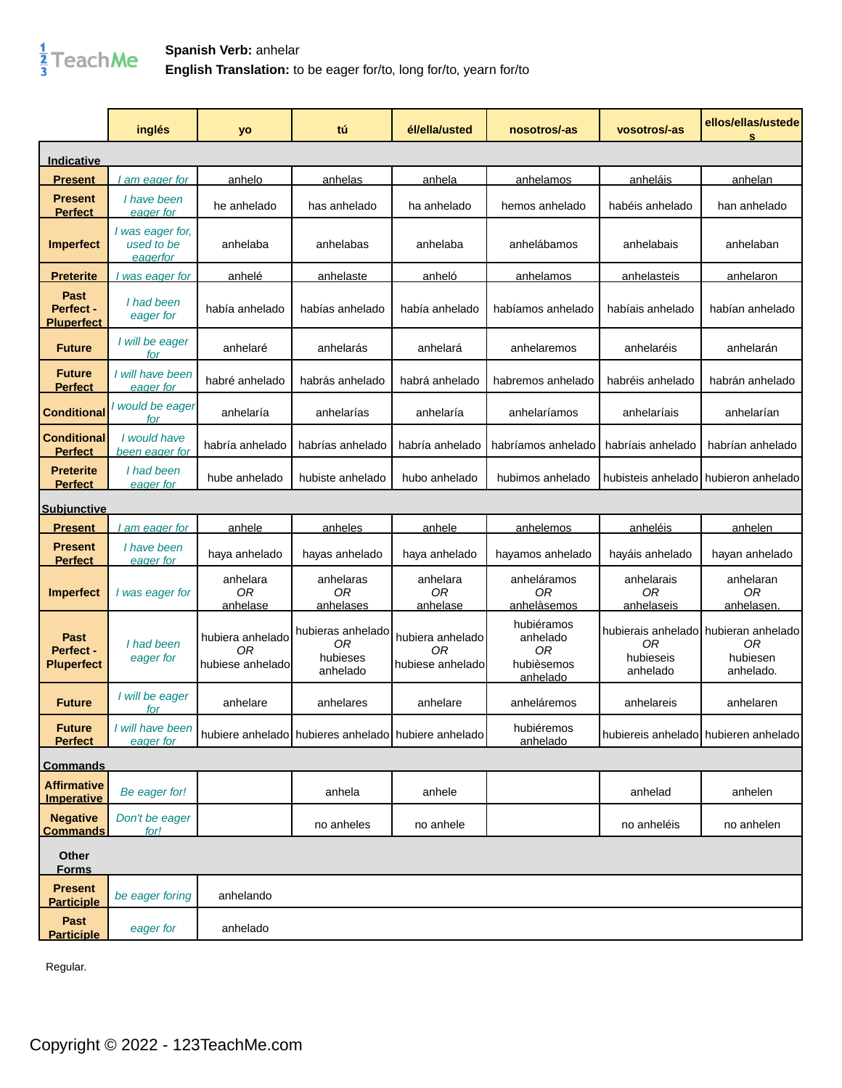

|                                               | inglés                                      | yo                                          | tú                                                  | él/ella/usted                              | nosotros/-as                                           | vosotros/-as                   | ellos/ellas/ustede<br>s                                                    |
|-----------------------------------------------|---------------------------------------------|---------------------------------------------|-----------------------------------------------------|--------------------------------------------|--------------------------------------------------------|--------------------------------|----------------------------------------------------------------------------|
| Indicative                                    |                                             |                                             |                                                     |                                            |                                                        |                                |                                                                            |
| Present                                       | am eager for                                | <u>anhelo</u>                               | <u>anhelas</u>                                      | <u>anhela</u>                              | <u>anhelamos</u>                                       | anheláis                       | <u>anhelan</u>                                                             |
| <b>Present</b><br><b>Perfect</b>              | I have been<br>eager for                    | he anhelado                                 | has anhelado                                        | ha anhelado                                | hemos anhelado                                         | habéis anhelado                | han anhelado                                                               |
| <b>Imperfect</b>                              | I was eager for,<br>used to be<br>eager for | anhelaba                                    | anhelabas                                           | anhelaba                                   | anhelábamos                                            | anhelabais                     | anhelaban                                                                  |
| <b>Preterite</b>                              | was eager for                               | anhelé                                      | anhelaste                                           | anheló                                     | anhelamos                                              | anhelasteis                    | anhelaron                                                                  |
| <b>Past</b><br>Perfect -<br><b>Pluperfect</b> | I had been<br>eager for                     | había anhelado                              | habías anhelado                                     | había anhelado                             | habíamos anhelado                                      | habíais anhelado               | habían anhelado                                                            |
| <b>Future</b>                                 | I will be eager<br>for                      | anhelaré                                    | anhelarás                                           | anhelará                                   | anhelaremos                                            | anhelaréis                     | anhelarán                                                                  |
| <b>Future</b><br><b>Perfect</b>               | I will have been<br>eager for               | habré anhelado                              | habrás anhelado                                     | habrá anhelado                             | habremos anhelado                                      | habréis anhelado               | habrán anhelado                                                            |
| <b>Conditional</b>                            | I would be eager<br>for                     | anhelaría                                   | anhelarías                                          | anhelaría                                  | anhelaríamos                                           | anhelaríais                    | anhelarían                                                                 |
| <b>Conditional</b><br><b>Perfect</b>          | I would have<br>been eager for              | habría anhelado                             | habrías anhelado                                    | habría anhelado                            | habríamos anhelado                                     | habríais anhelado              | habrían anhelado                                                           |
| <b>Preterite</b><br><b>Perfect</b>            | I had been<br>eager for                     | hube anhelado                               | hubiste anhelado                                    | hubo anhelado                              | hubimos anhelado                                       |                                | hubisteis anhelado hubieron anhelado                                       |
| <u>Subjunctive</u>                            |                                             |                                             |                                                     |                                            |                                                        |                                |                                                                            |
| <u>Present</u>                                | am eager for                                | anhele                                      | anheles                                             | anhele                                     | anhelemos                                              | anheléis                       | anhelen                                                                    |
| <b>Present</b><br><b>Perfect</b>              | I have been<br>eager for                    | haya anhelado                               | hayas anhelado                                      | haya anhelado                              | hayamos anhelado                                       | hayáis anhelado                | hayan anhelado                                                             |
| <b>Imperfect</b>                              | I was eager for                             | anhelara<br>ОR<br>anhelase                  | anhelaras<br>0R<br>anhelases                        | anhelara<br>0R<br>anhelase                 | anheláramos<br>ОR<br>anhelàsemos                       | anhelarais<br>0R<br>anhelaseis | anhelaran<br>0R<br><u>anhelasen.</u>                                       |
| Past<br>Perfect -<br><b>Pluperfect</b>        | I had been<br>eager for                     | hubiera anhelado<br>ΟR<br>hubiese anheladol | hubieras anhelado<br>0R<br>hubieses<br>anhelado     | hubiera anhelado<br>OR<br>hubiese anhelado | hubiéramos<br>anhelado<br>ОR<br>hubièsemos<br>anhelado | 0R<br>hubieseis<br>anhelado    | hubierais anhelado hubieran anhelado<br><b>OR</b><br>hubiesen<br>anhelado. |
| <b>Future</b>                                 | I will be eager<br>for                      | anhelare                                    | anhelares                                           | anhelare                                   | anheláremos                                            | anhelareis                     | anhelaren                                                                  |
| <b>Future</b><br><b>Perfect</b>               | I will have been<br>eager for               |                                             | hubiere anhelado hubieres anhelado hubiere anhelado |                                            | hubiéremos<br>anhelado                                 |                                | hubiereis anhelado hubieren anhelado                                       |
| <b>Commands</b>                               |                                             |                                             |                                                     |                                            |                                                        |                                |                                                                            |
| <b>Affirmative</b><br><b>Imperative</b>       | Be eager for!                               |                                             | anhela                                              | anhele                                     |                                                        | anhelad                        | anhelen                                                                    |
| <b>Negative</b><br><b>Commands</b>            | Don't be eager<br>for!                      |                                             | no anheles                                          | no anhele                                  |                                                        | no anheléis                    | no anhelen                                                                 |
| Other<br><b>Forms</b>                         |                                             |                                             |                                                     |                                            |                                                        |                                |                                                                            |
| <b>Present</b><br><b>Participle</b>           | be eager foring                             | anhelando                                   |                                                     |                                            |                                                        |                                |                                                                            |
| Past<br><b>Participle</b>                     | eager for                                   | anhelado                                    |                                                     |                                            |                                                        |                                |                                                                            |

Regular.